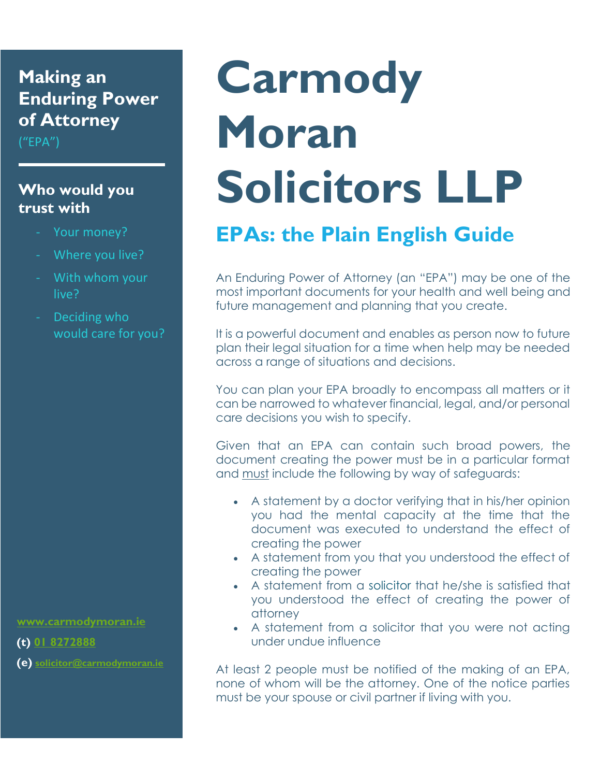## **Making an Enduring Power of Attorney**

 $("EPA")$ 

#### **Who would you trust with**

- Your money?
- Where you live?
- With whom your live?
- Deciding who would care for you?

 **[www.carmodymoran.ie](http://www.carmodymoran.ie/)**

 **(t) [01 8272888](tel:018272888)**

 **(e) [solicitor@carmodymoran.ie](mailto:solicitor@carmodymoran.ie)**

# **Carmody Moran Solicitors LLP**

# **EPAs: the Plain English Guide**

An Enduring Power of Attorney (an "EPA") may be one of the most important documents for your health and well being and future management and planning that you create.

It is a powerful document and enables as person now to future plan their legal situation for a time when help may be needed across a range of situations and decisions.

You can plan your EPA broadly to encompass all matters or it can be narrowed to whatever financial, legal, and/or personal care decisions you wish to specify.

Given that an EPA can contain such broad powers, the document creating the power must be in a particular format and must include the following by way of safeguards:

- A statement by a doctor verifying that in his/her opinion you had the mental capacity at the time that the document was executed to understand the effect of creating the power
- A statement from you that you understood the effect of creating the power
- A statement from a [solicitor](http://www.citizensinformation.ie/en/justice/courtroom/solicitors.html) that he/she is satisfied that you understood the effect of creating the power of attorney
- A statement from a solicitor that you were not acting under undue influence

At least 2 people must be notified of the making of an EPA, none of whom will be the attorney. One of the notice parties must be your spouse or civil partner if living with you.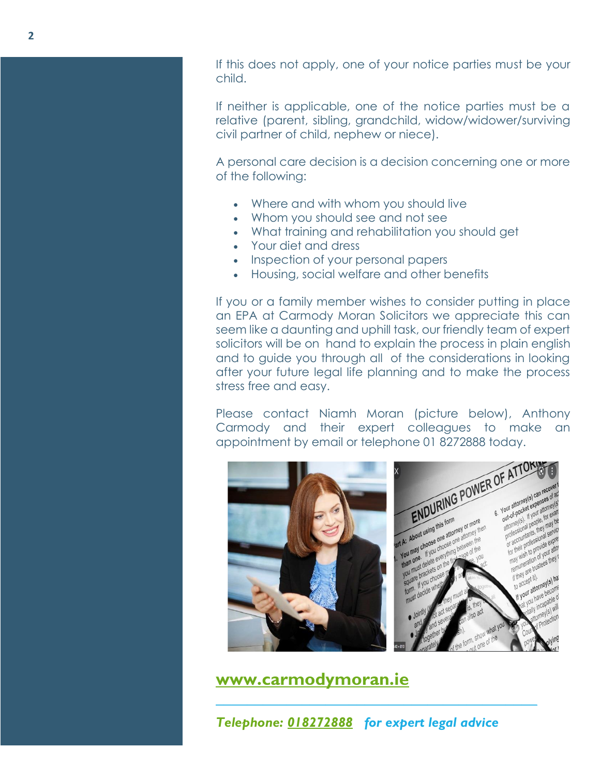If this does not apply, one of your notice parties must be your child.

If neither is applicable, one of the notice parties must be a relative (parent, sibling, grandchild, widow/widower/surviving civil partner of child, nephew or niece).

A personal care decision is a decision concerning one or more of the following:

- Where and with whom you should live
- Whom you should see and not see
- What training and rehabilitation you should get
- Your diet and dress
- Inspection of your personal papers
- Housing, social welfare and other benefits

If you or a family member wishes to consider putting in place an EPA at Carmody Moran Solicitors we appreciate this can seem like a daunting and uphill task, our friendly team of expert solicitors will be on hand to explain the process in plain english and to guide you through all of the considerations in looking after your future legal life planning and to make the process stress free and easy.

Please contact Niamh Moran (picture below), Anthony Carmody and their expert colleagues to make an



**[www.carmodymoran.ie](http://www.carmodymoran.ie/)**

*Telephone: [018272888](tel:018272888) for expert legal advice*

*\_\_\_\_\_\_\_\_\_\_\_\_\_\_\_\_\_\_\_\_\_\_\_\_\_\_\_\_\_\_\_\_\_\_\_\_\_\_\_\_\_*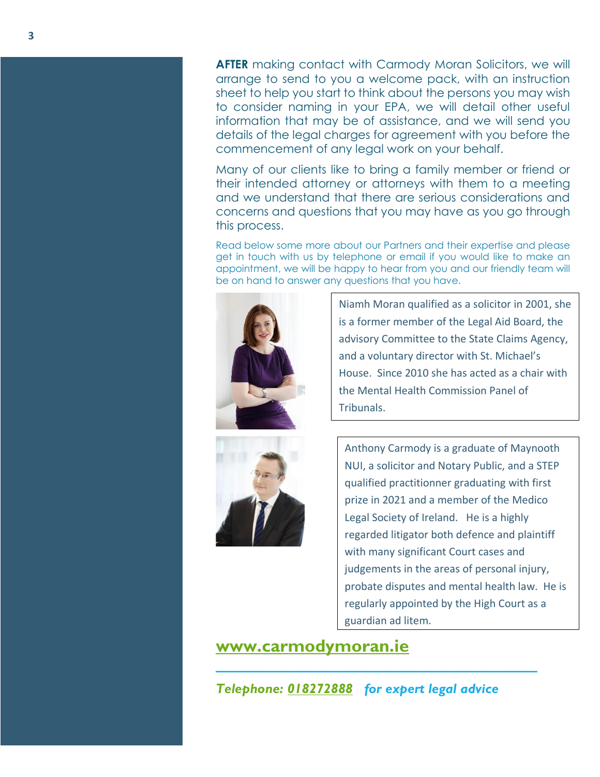**AFTER** making contact with Carmody Moran Solicitors, we will arrange to send to you a welcome pack, with an instruction sheet to help you start to think about the persons you may wish to consider naming in your EPA, we will detail other useful information that may be of assistance, and we will send you details of the legal charges for agreement with you before the commencement of any legal work on your behalf.

Many of our clients like to bring a family member or friend or their intended attorney or attorneys with them to a meeting and we understand that there are serious considerations and concerns and questions that you may have as you go through this process.

Read below some more about our Partners and their expertise and please get in touch with us by telephone or email if you would like to make an appointment, we will be happy to hear from you and our friendly team will be on hand to answer any questions that you have.



Niamh Moran qualified as a solicitor in 2001, she is a former member of the Legal Aid Board, the advisory Committee to the State Claims Agency, and a voluntary director with St. Michael's House. Since 2010 she has acted as a chair with the Mental Health Commission Panel of Tribunals.



Anthony Carmody is a graduate of Maynooth NUI, a solicitor and Notary Public, and a STEP qualified practitionner graduating with first prize in 2021 and a member of the Medico Legal Society of Ireland. He is a highly regarded litigator both defence and plaintiff with many significant Court cases and judgements in the areas of personal injury, probate disputes and mental health law. He is regularly appointed by the High Court as a guardian ad litem.

**[www.carmodymoran.ie](http://www.carmodymoran.ie/)**

*Telephone: [018272888](tel:018272888) for expert legal advice*

*\_\_\_\_\_\_\_\_\_\_\_\_\_\_\_\_\_\_\_\_\_\_\_\_\_\_\_\_\_\_\_\_\_\_\_\_\_\_\_\_\_*